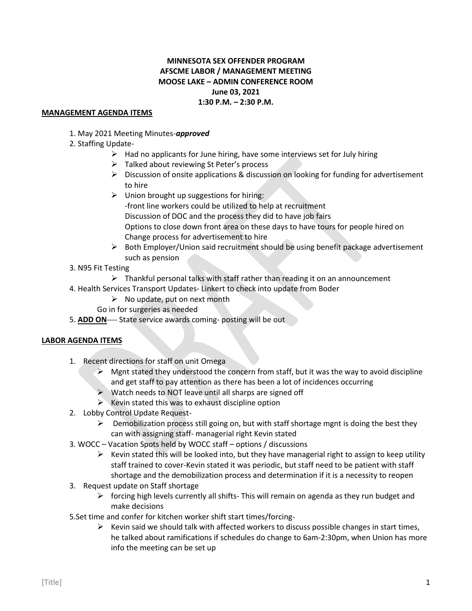## **MINNESOTA SEX OFFENDER PROGRAM AFSCME LABOR / MANAGEMENT MEETING MOOSE LAKE – ADMIN CONFERENCE ROOM June 03, 2021 1:30 P.M. – 2:30 P.M.**

## **MANAGEMENT AGENDA ITEMS**

1. May 2021 Meeting Minutes-*approved*

## 2. Staffing Update-

- $\triangleright$  Had no applicants for June hiring, have some interviews set for July hiring
- $\triangleright$  Talked about reviewing St Peter's process
- $\triangleright$  Discussion of onsite applications & discussion on looking for funding for advertisement to hire
- $\triangleright$  Union brought up suggestions for hiring: -front line workers could be utilized to help at recruitment Discussion of DOC and the process they did to have job fairs Options to close down front area on these days to have tours for people hired on Change process for advertisement to hire
- $\triangleright$  Both Employer/Union said recruitment should be using benefit package advertisement such as pension
- 3. N95 Fit Testing
	- $\triangleright$  Thankful personal talks with staff rather than reading it on an announcement
- 4. Health Services Transport Updates- Linkert to check into update from Boder
	- $\triangleright$  No update, put on next month
	- Go in for surgeries as needed
- 5. **ADD ON**---- State service awards coming- posting will be out

## **LABOR AGENDA ITEMS**

- 1. Recent directions for staff on unit Omega
	- $\triangleright$  Mgnt stated they understood the concern from staff, but it was the way to avoid discipline and get staff to pay attention as there has been a lot of incidences occurring
	- ➢ Watch needs to NOT leave until all sharps are signed off
	- $\triangleright$  Kevin stated this was to exhaust discipline option
- 2. Lobby Control Update Request-
	- ➢ Demobilization process still going on, but with staff shortage mgnt is doing the best they can with assigning staff- managerial right Kevin stated
- 3. WOCC Vacation Spots held by WOCC staff options / discussions
	- $\triangleright$  Kevin stated this will be looked into, but they have managerial right to assign to keep utility staff trained to cover-Kevin stated it was periodic, but staff need to be patient with staff shortage and the demobilization process and determination if it is a necessity to reopen
- 3. Request update on Staff shortage
	- ➢ forcing high levels currently all shifts- This will remain on agenda as they run budget and make decisions
- 5.Set time and confer for kitchen worker shift start times/forcing-
	- $\triangleright$  Kevin said we should talk with affected workers to discuss possible changes in start times, he talked about ramifications if schedules do change to 6am-2:30pm, when Union has more info the meeting can be set up